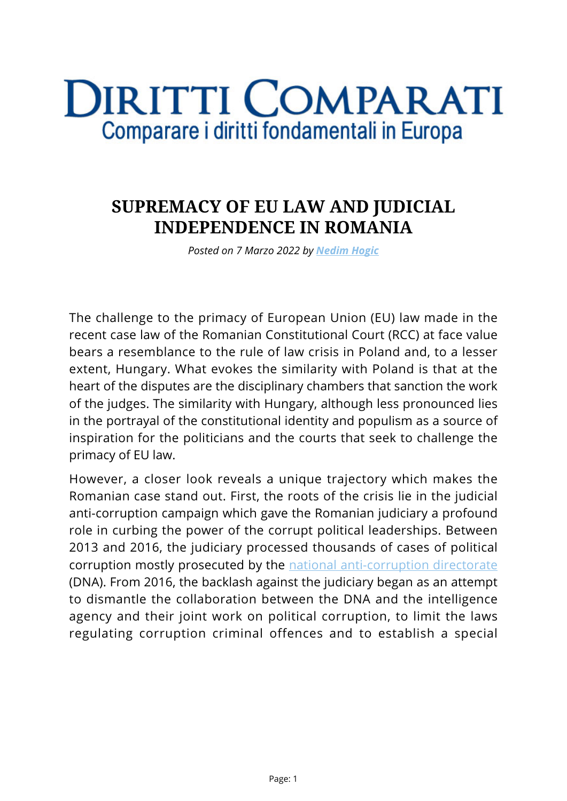## **DIRITTI COMPARATI** Comparare i diritti fondamentali in Europa

## **SUPREMACY OF EU LAW AND JUDICIAL INDEPENDENCE IN ROMANIA**

*Posted on 7 Marzo 2022 by [Nedim Hogic](https://www.diritticomparati.it/autore/nedim-hogic/)*

The challenge to the primacy of European Union (EU) law made in the recent case law of the Romanian Constitutional Court (RCC) at face value bears a resemblance to the rule of law crisis in Poland and, to a lesser extent, Hungary. What evokes the similarity with Poland is that at the heart of the disputes are the disciplinary chambers that sanction the work of the judges. The similarity with Hungary, although less pronounced lies in the portrayal of the constitutional identity and populism as a source of inspiration for the politicians and the courts that seek to challenge the primacy of EU law.

However, a closer look reveals a unique trajectory which makes the Romanian case stand out. First, the roots of the crisis lie in the judicial anti-corruption campaign which gave the Romanian judiciary a profound role in curbing the power of the corrupt political leaderships. Between 2013 and 2016, the judiciary processed thousands of cases of political corruption mostly prosecuted by the [national anti-corruption directorate](http://www.pna.ro/) (DNA). From 2016, the backlash against the judiciary began as an attempt to dismantle the collaboration between the DNA and the intelligence agency and their joint work on political corruption, to limit the laws regulating corruption criminal offences and to establish a special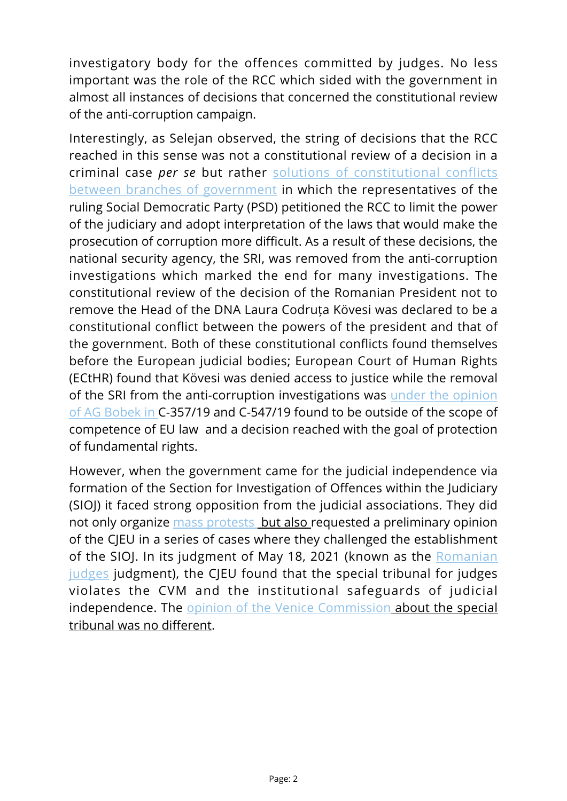investigatory body for the offences committed by judges. No less important was the role of the RCC which sided with the government in almost all instances of decisions that concerned the constitutional review of the anti-corruption campaign.

Interestingly, as Selejan observed, the string of decisions that the RCC reached in this sense was not a constitutional review of a decision in a criminal case *per se* but rather [solutions of constitutional conflicts](https://verfassungsblog.de/whos-afraid-of-the-big-bad-court/) [between branches of government](https://verfassungsblog.de/whos-afraid-of-the-big-bad-court/) in which the representatives of the ruling Social Democratic Party (PSD) petitioned the RCC to limit the power of the judiciary and adopt interpretation of the laws that would make the prosecution of corruption more difficult. As a result of these decisions, the national security agency, the SRI, was removed from the anti-corruption investigations which marked the end for many investigations. The constitutional review of the decision of the Romanian President not to remove the Head of the DNA Laura Codruța Kövesi was declared to be a constitutional conflict between the powers of the president and that of the government. Both of these constitutional conflicts found themselves before the European judicial bodies; European Court of Human Rights (ECtHR) found that Kövesi was denied access to justice while the removal of the SRI from the anti-corruption investigations was [under the opinion](https://eur-lex.europa.eu/legal-content/en/TXT/?uri=CELEX:62019CC0357) [of AG Bobek in](https://eur-lex.europa.eu/legal-content/en/TXT/?uri=CELEX:62019CC0357) C-357/19 and C-547/19 found to be outside of the scope of competence of EU law and a decision reached with the goal of protection of fundamental rights.

However, when the government came for the judicial independence via formation of the Section for Investigation of Offences within the Judiciary (SIOJ) it faced strong opposition from the judicial associations. They did not only organize [mass protests](https://balkaninsight.com/2020/09/24/romanian-judges-demand-eu-slated-special-courts-immediate-abolition/) but also requested a preliminary opinion of the CJEU in a series of cases where they challenged the establishment of the SIOJ. In its judgment of May 18, 2021 (known as the [Romanian](https://curia.europa.eu/juris/document/document.jsf?text=&docid=241381&pageIndex=0&doclang=en&mode=lst&dir=&occ=first&part=1&cid=3228288) [judges](https://curia.europa.eu/juris/document/document.jsf?text=&docid=241381&pageIndex=0&doclang=en&mode=lst&dir=&occ=first&part=1&cid=3228288) judgment), the CJEU found that the special tribunal for judges violates the CVM and the institutional safeguards of judicial independence. The [opinion of the Venice Commission](https://www.venice.coe.int/webforms/documents/?pdf=CDL-AD(2021)019-e) about the special tribunal was no different.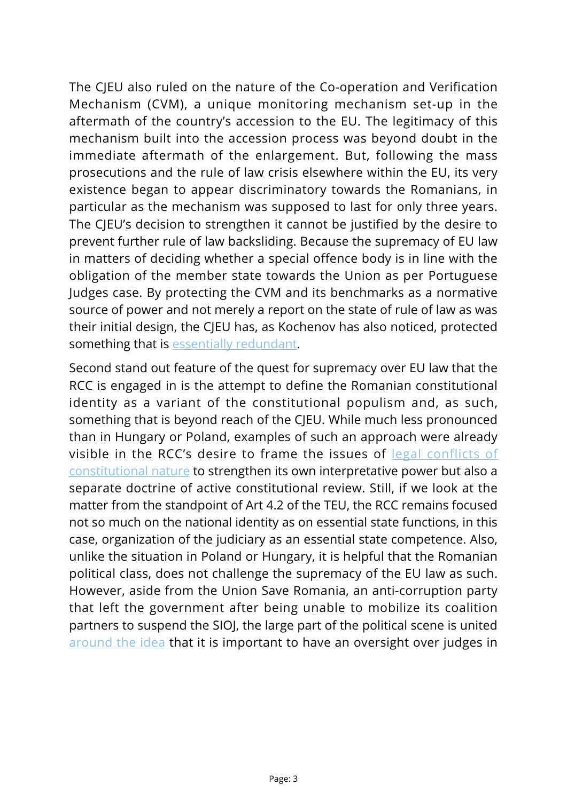The CJEU also ruled on the nature of the Co-operation and Verification Mechanism (CVM), a unique monitoring mechanism set-up in the aftermath of the country's accession to the EU. The legitimacy of this mechanism built into the accession process was beyond doubt in the immediate aftermath of the enlargement. But, following the mass prosecutions and the rule of law crisis elsewhere within the EU, its very existence began to appear discriminatory towards the Romanians, in particular as the mechanism was supposed to last for only three years. The CJEU's decision to strengthen it cannot be justified by the desire to prevent further rule of law backsliding. Because the supremacy of EU law in matters of deciding whether a special offence body is in line with the obligation of the member state towards the Union as per Portuguese Judges case. By protecting the CVM and its benchmarks as a normative source of power and not merely a report on the state of rule of law as was their initial design, the CJEU has, as Kochenov has also noticed, protected something that is [essentially redundant.](https://www.academia.edu/49153937/OF_JUPITERS_AND_BULLS_THE_COOPERATION_AND_VERIFICATION_MECHANISM_AS_A_REDUNDANT_SPECIAL_REGIME_OF_THE_RULE_OF_LAW)

Second stand out feature of the quest for supremacy over EU law that the RCC is engaged in is the attempt to define the Romanian constitutional identity as a variant of the constitutional populism and, as such, something that is beyond reach of the CJEU. While much less pronounced than in Hungary or Poland, examples of such an approach were already visible in the RCC's desire to frame the issues of [legal conflicts of](https://verfassungsblog.de/romania-another-brick-in-the-wall-fencing-the-fight-against-corruption/) [constitutional nature](https://verfassungsblog.de/romania-another-brick-in-the-wall-fencing-the-fight-against-corruption/) to strengthen its own interpretative power but also a separate doctrine of active constitutional review. Still, if we look at the matter from the standpoint of Art 4.2 of the TEU, the RCC remains focused not so much on the national identity as on essential state functions, in this case, organization of the judiciary as an essential state competence. Also, unlike the situation in Poland or Hungary, it is helpful that the Romanian political class, does not challenge the supremacy of the EU law as such. However, aside from the Union Save Romania, an anti-corruption party that left the government after being unable to mobilize its coalition partners to suspend the SIOJ, the large part of the political scene is united [around the idea](https://verfassungsblog.de/handle-with-care/) that it is important to have an oversight over judges in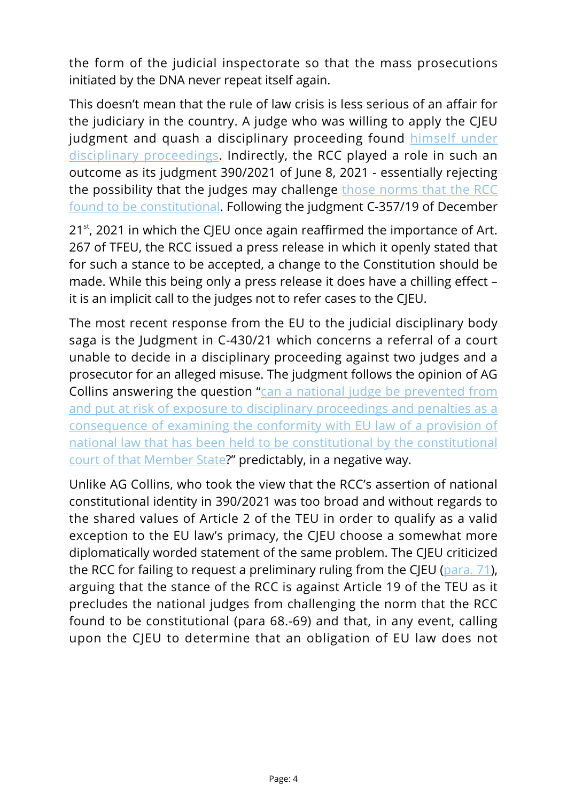the form of the judicial inspectorate so that the mass prosecutions initiated by the DNA never repeat itself again.

This doesn't mean that the rule of law crisis is less serious of an affair for the judiciary in the country. A judge who was willing to apply the CJEU judgment and quash a disciplinary proceeding found [himself under](https://www.thegoodlobby.eu/2021/09/28/statement-in-support-of-judge-costin-andrei-stancu/) [disciplinary proceedings](https://www.thegoodlobby.eu/2021/09/28/statement-in-support-of-judge-costin-andrei-stancu/). Indirectly, the RCC played a role in such an outcome as its judgment 390/2021 of June 8, 2021 - essentially rejecting the possibility that the judges may challenge [those norms that the RCC](https://verfassungsblog.de/a-tale-of-primacy-part-ii/) [found to be constitutional](https://verfassungsblog.de/a-tale-of-primacy-part-ii/). Following the judgment C-357/19 of December

 $21<sup>st</sup>$ , 2021 in which the CJEU once again reaffirmed the importance of Art. 267 of TFEU, the RCC issued a press release in which it openly stated that for such a stance to be accepted, a change to the Constitution should be made. While this being only a press release it does have a chilling effect – it is an implicit call to the judges not to refer cases to the CJEU.

The most recent response from the EU to the judicial disciplinary body saga is the Judgment in C-430/21 which concerns a referral of a court unable to decide in a disciplinary proceeding against two judges and a prosecutor for an alleged misuse. The judgment follows the opinion of AG Collins answering the question "[can a national judge be prevented from](https://curia.europa.eu/juris/document/document.jsf?docid=252467&mode=req&pageIndex=1&dir=&occ=first&part=1&text=&doclang=EN&cid=4084101) [and put at risk of exposure to disciplinary proceedings and penalties as a](https://curia.europa.eu/juris/document/document.jsf?docid=252467&mode=req&pageIndex=1&dir=&occ=first&part=1&text=&doclang=EN&cid=4084101) [consequence of examining the conformity with EU law of a provision of](https://curia.europa.eu/juris/document/document.jsf?docid=252467&mode=req&pageIndex=1&dir=&occ=first&part=1&text=&doclang=EN&cid=4084101) [national law that has been held to be constitutional by the constitutional](https://curia.europa.eu/juris/document/document.jsf?docid=252467&mode=req&pageIndex=1&dir=&occ=first&part=1&text=&doclang=EN&cid=4084101) [court of that Member State](https://curia.europa.eu/juris/document/document.jsf?docid=252467&mode=req&pageIndex=1&dir=&occ=first&part=1&text=&doclang=EN&cid=4084101)?" predictably, in a negative way.

Unlike AG Collins, who took the view that the RCC's assertion of national constitutional identity in 390/2021 was too broad and without regards to the shared values of Article 2 of the TEU in order to qualify as a valid exception to the EU law's primacy, the CJEU choose a somewhat more diplomatically worded statement of the same problem. The CJEU criticized the RCC for failing to request a preliminary ruling from the CJEU ([para. 71\)](https://curia.europa.eu/juris/document/document.jsf;jsessionid=5A5914359D9B5C3B9FF0B611CF8624E7?text=&docid=254384&pageIndex=0&doclang=EN&mode=req&dir=&occ=first&part=1&cid=711613), arguing that the stance of the RCC is against Article 19 of the TEU as it precludes the national judges from challenging the norm that the RCC found to be constitutional (para 68.-69) and that, in any event, calling upon the CJEU to determine that an obligation of EU law does not